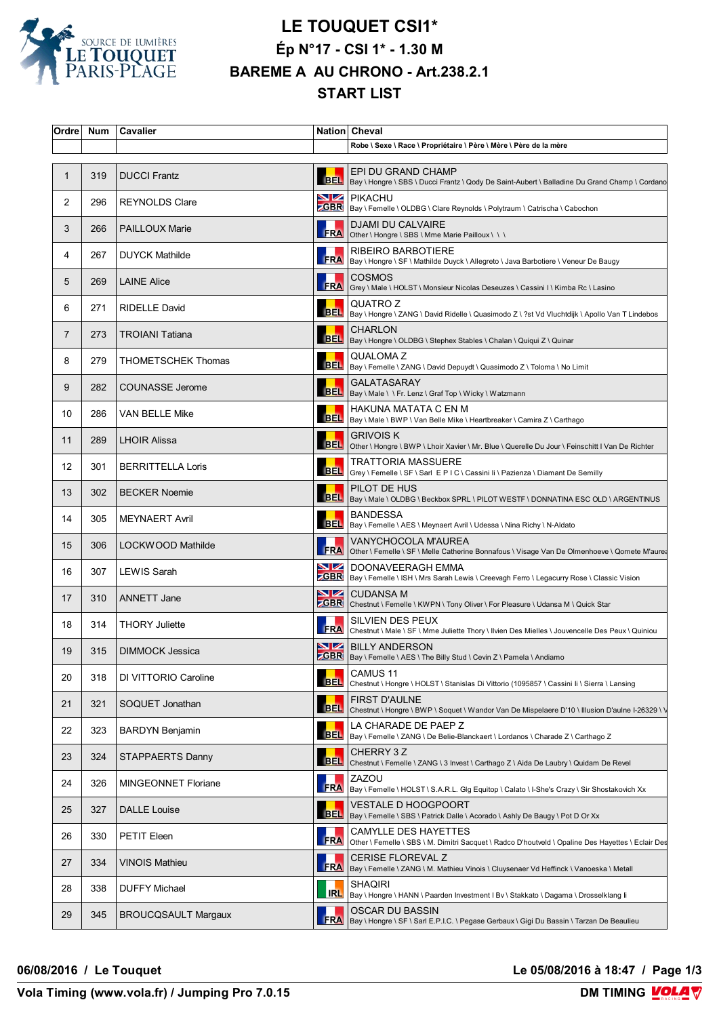

## **LE TOUQUET CSI1\* Ép N°17 - CSI 1\* - 1.30 M BAREME A AU CHRONO - Art.238.2.1 START LIST**

| Ordre             | Num | Cavalier                   |                | Nation Cheval                                                                                                                                             |
|-------------------|-----|----------------------------|----------------|-----------------------------------------------------------------------------------------------------------------------------------------------------------|
|                   |     |                            |                | Robe \ Sexe \ Race \ Propriétaire \ Père \ Mère \ Père de la mère                                                                                         |
| 1                 | 319 | <b>DUCCI Frantz</b>        | <b>BEL</b>     | EPI DU GRAND CHAMP<br>Bay \ Hongre \ SBS \ Ducci Frantz \ Qody De Saint-Aubert \ Balladine Du Grand Champ \ Cordano                                       |
| 2                 | 296 | <b>REYNOLDS Clare</b>      |                | <b>NZ</b> PIKACHU<br><b>CGBR</b>   Bay \ Femelle \ OLDBG \ Clare Reynolds \ Polytraum \ Catrischa \ Cabochon                                              |
| 3                 | 266 | <b>PAILLOUX Marie</b>      |                | <b>DJAMI DU CALVAIRE</b><br>FRA Other \ Hongre \ SBS \ Mme Marie Pailloux \ \ \                                                                           |
| 4                 | 267 | <b>DUYCK Mathilde</b>      |                | <b>RIBEIRO BARBOTIERE</b><br>REAREA   RIBEIRU BARDU I IEI LE<br>  FRA  Bay \ Hongre \ SF \ Mathilde Duyck \ Allegreto \ Java Barbotiere \ Veneur De Baugy |
| 5                 | 269 | <b>LAINE Alice</b>         | FRA            | <b>COSMOS</b><br>Grey \ Male \ HOLST \ Monsieur Nicolas Deseuzes \ Cassini I \ Kimba Rc \ Lasino                                                          |
| 6                 | 271 | <b>RIDELLE David</b>       |                | QUATRO Z<br>BEL   Bay \ Hongre \ ZANG \ David Ridelle \ Quasimodo Z \ ?st Vd Vluchtdijk \ Apollo Van T Lindebos                                           |
| 7                 | 273 | <b>TROIANI Tatiana</b>     |                | <b>CHARLON</b><br>BEL   Bay \ Hongre \ OLDBG \ Stephex Stables \ Chalan \ Quiqui Z \ Quinar                                                               |
| 8                 | 279 | <b>THOMETSCHEK Thomas</b>  |                | QUALOMA Z<br>BEL   QUALUIVIA Z<br>  BEL   Bay \ Femelle \ ZANG \ David Depuydt \ Quasimodo Z \ Toloma \ No Limit                                          |
| 9                 | 282 | <b>COUNASSE Jerome</b>     |                | <b>GALATASARAY</b><br>BEL   Bay \ Male \ \ Fr. Lenz \ Graf Top \ Wicky \ Watzmann                                                                         |
| 10                | 286 | VAN BELLE Mike             |                | HAKUNA MATATA C EN M<br>BEL   Bay \ Male \ BWP \ Van Belle Mike \ Heartbreaker \ Camira Z \ Carthago                                                      |
| 11                | 289 | <b>LHOIR Alissa</b>        | <b>BEL</b>     | GRIVOIS K<br>Other \ Hongre \ BWP \ Lhoir Xavier \ Mr. Blue \ Querelle Du Jour \ Feinschitt I Van De Richter                                              |
| $12 \overline{ }$ | 301 | <b>BERRITTELLA Loris</b>   | <b>BEL</b>     | <b>TRATTORIA MASSUERE</b><br> Grey \ Femelle \ SF \ Sarl E P I C \ Cassini li \ Pazienza \ Diamant De Semilly                                             |
| 13                | 302 | <b>BECKER Noemie</b>       |                | PILOT DE HUS<br>BEL  Bay \ Male \ OLDBG \ Beckbox SPRL \ PILOT WESTF \ DONNATINA ESC OLD \ ARGENTINUS                                                     |
| 14                | 305 | <b>MEYNAERT Avril</b>      |                | <b>BANDESSA</b><br>BEL   Bay \ Femelle \ AES \ Meynaert Avril \ Udessa \ Nina Richy \ N-Aldato                                                            |
| 15                | 306 | LOCKWOOD Mathilde          | <b>FRA</b>     | VANYCHOCOLA M'AUREA<br>Other \ Femelle \ SF \ Melle Catherine Bonnafous \ Visage Van De Olmenhoeve \ Qomete M'aurea                                       |
| 16                | 307 | LEWIS Sarah                | $\blacksquare$ | DOONAVEERAGH EMMA<br>ZGBR   Bay \ Femelle \ ISH \ Mrs Sarah Lewis \ Creevagh Ferro \ Legacurry Rose \ Classic Vision                                      |
| 17                | 310 | <b>ANNETT Jane</b>         |                | NZ CUDANSA M<br><b>CGBR</b> Chestnut \ Femelle \ KWPN \ Tony Oliver \ For Pleasure \ Udansa M \ Quick Star                                                |
| 18                | 314 | <b>THORY Juliette</b>      | <b>FRA</b>     | SILVIEN DES PEUX<br>Chestnut \ Male \ SF \ Mme Juliette Thory \ Ilvien Des Mielles \ Jouvencelle Des Peux \ Quiniou                                       |
| 19                | 315 | <b>DIMMOCK Jessica</b>     |                | <b>NZ BILLY ANDERSON</b><br><b>CBR</b> Bay \ Femelle \ AES \ The Billy Stud \ Cevin Z \ Pamela \ Andiamo                                                  |
| 20                | 318 | DI VITTORIO Caroline       | <b>BEL</b>     | CAMUS <sub>11</sub><br>Chestnut \ Hongre \ HOLST \ Stanislas Di Vittorio (1095857 \ Cassini li \ Sierra \ Lansing                                         |
| 21                | 321 | SOQUET Jonathan            |                | <b>FIRST D'AULNE</b><br>BEL Chestnut \ Hongre \ BWP \ Soquet \ Wandor Van De Mispelaere D'10 \ Illusion D'aulne I-26329 \ \                               |
| 22                | 323 | <b>BARDYN Benjamin</b>     | <b>BEL</b>     | LA CHARADE DE PAEP Z<br>Bay \ Femelle \ ZANG \ De Belie-Blanckaert \ Lordanos \ Charade Z \ Carthago Z                                                    |
| 23                | 324 | <b>STAPPAERTS Danny</b>    | <b>BEL</b>     | CHERRY 3 Z<br>Chestnut \ Femelle \ ZANG \ 3 Invest \ Carthago Z \ Aida De Laubry \ Quidam De Revel                                                        |
| 24                | 326 | MINGEONNET Floriane        |                | ZAZOU<br><b>FRA</b> Bay \ Femelle \ HOLST \ S.A.R.L. Glg Equitop \ Calato \ I-She's Crazy \ Sir Shostakovich Xx                                           |
| 25                | 327 | <b>DALLE Louise</b>        | <b>BEL</b>     | VESTALE D HOOGPOORT<br>Bay \ Femelle \ SBS \ Patrick Dalle \ Acorado \ Ashly De Baugy \ Pot D Or Xx                                                       |
| 26                | 330 | PETIT Eleen                | FRA            | CAMYLLE DES HAYETTES<br>Other \ Femelle \ SBS \ M. Dimitri Sacquet \ Radco D'houtveld \ Opaline Des Hayettes \ Eclair Des                                 |
| 27                | 334 | <b>VINOIS Mathieu</b>      | FRA            | CERISE FLOREVAL Z<br>Bay \ Femelle \ ZANG \ M. Mathieu Vinois \ Cluysenaer Vd Heffinck \ Vanoeska \ Metall                                                |
| 28                | 338 | <b>DUFFY Michael</b>       | <b>RL</b>      | SHAQIRI<br>Bay \ Hongre \ HANN \ Paarden Investment   Bv \ Stakkato \ Dagama \ Drosselklang li                                                            |
| 29                | 345 | <b>BROUCQSAULT Margaux</b> | <b>FRA</b>     | OSCAR DU BASSIN<br>Bay \ Hongre \ SF \ Sarl E.P.I.C. \ Pegase Gerbaux \ Gigi Du Bassin \ Tarzan De Beaulieu                                               |

**06/08/2016 / Le Touquet Le 05/08/2016 à 18:47 / Page 1/3**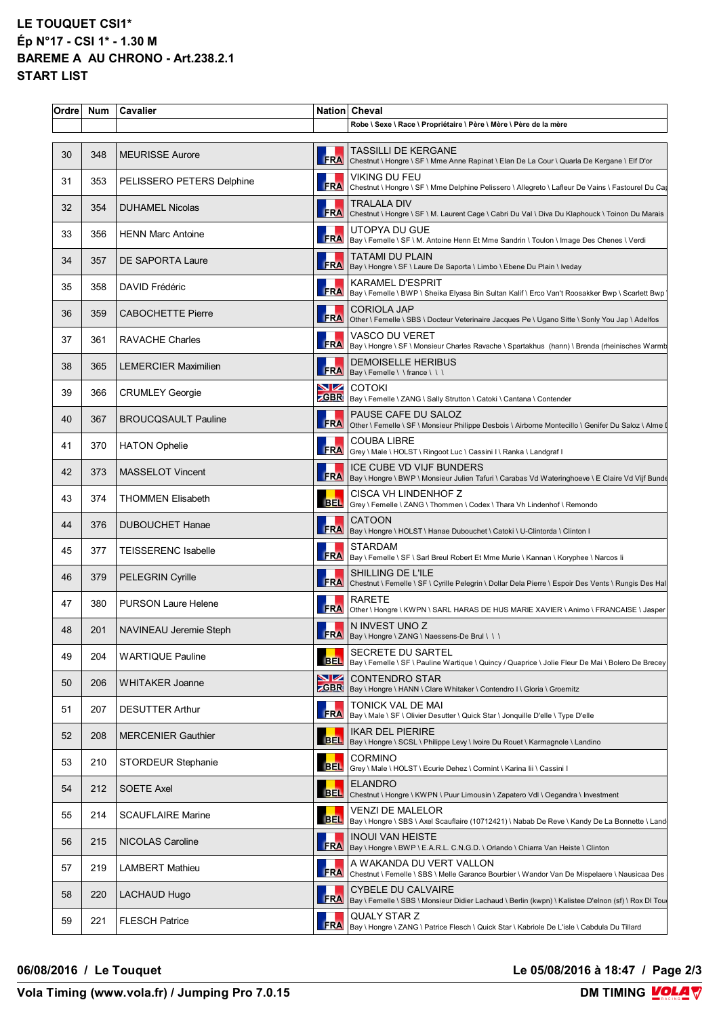## **LE TOUQUET CSI1\* Ép N°17 - CSI 1\* - 1.30 M BAREME A AU CHRONO - Art.238.2.1 START LIST**

| Ordre | Num | Cavalier                    |            | Nation Cheval                                                                                                                   |
|-------|-----|-----------------------------|------------|---------------------------------------------------------------------------------------------------------------------------------|
|       |     |                             |            | Robe \ Sexe \ Race \ Propriétaire \ Père \ Mère \ Père de la mère                                                               |
| 30    | 348 | <b>MEURISSE Aurore</b>      | <b>FRA</b> | TASSILLI DE KERGANE<br>Chestnut \ Hongre \ SF \ Mme Anne Rapinat \ Elan De La Cour \ Quarla De Kergane \ Elf D'or               |
| 31    | 353 | PELISSERO PETERS Delphine   | FRA        | VIKING DU FEU<br>Chestnut \ Hongre \ SF \ Mme Delphine Pelissero \ Allegreto \ Lafleur De Vains \ Fastourel Du Cap              |
| 32    | 354 | <b>DUHAMEL Nicolas</b>      | FRA        | TRALALA DIV<br>Chestnut \ Hongre \ SF \ M. Laurent Cage \ Cabri Du Val \ Diva Du Klaphouck \ Toinon Du Marais                   |
| 33    | 356 | <b>HENN Marc Antoine</b>    | <b>FRA</b> | UTOPYA DU GUE<br>Bay \ Femelle \ SF \ M. Antoine Henn Et Mme Sandrin \ Toulon \ Image Des Chenes \ Verdi                        |
| 34    | 357 | DE SAPORTA Laure            | <b>FRA</b> | <b>TATAMI DU PLAIN</b><br>Bay \ Hongre \ SF \ Laure De Saporta \ Limbo \ Ebene Du Plain \ Iveday                                |
| 35    | 358 | DAVID Frédéric              | FRA        | <b>KARAMEL D'ESPRIT</b><br>Bay \ Femelle \ BWP \ Sheika Elyasa Bin Sultan Kalif \ Erco Van't Roosakker Bwp \ Scarlett Bwp       |
| 36    | 359 | <b>CABOCHETTE Pierre</b>    | FRA        | <b>CORIOLA JAP</b><br>Other \ Femelle \ SBS \ Docteur Veterinaire Jacques Pe \ Ugano Sitte \ Sonly You Jap \ Adelfos            |
| 37    | 361 | <b>RAVACHE Charles</b>      | FRA        | VASCO DU VERET<br> Bay \ Hongre \ SF \ Monsieur Charles Ravache \ Spartakhus (hann) \ Brenda (rheinisches Warmb                 |
| 38    | 365 | <b>LEMERCIER Maximilien</b> | <b>FRA</b> | DEMOISELLE HERIBUS<br>Bay \ Femelle \ \ france \ \ \                                                                            |
| 39    | 366 | <b>CRUMLEY Georgie</b>      | <b>SZ</b>  | <b>COTOKI</b><br>ZGBR   Bay \ Femelle \ ZANG \ Sally Strutton \ Catoki \ Cantana \ Contender                                    |
| 40    | 367 | <b>BROUCQSAULT Pauline</b>  | <b>FRA</b> | PAUSE CAFE DU SALOZ<br>Other \ Femelle \ SF \ Monsieur Philippe Desbois \ Airborne Montecillo \ Genifer Du Saloz \ Alme         |
| 41    | 370 | <b>HATON Ophelie</b>        | FRA        | <b>COUBA LIBRE</b><br>Grey \ Male \ HOLST \ Ringoot Luc \ Cassini I \ Ranka \ Landgraf I                                        |
| 42    | 373 | <b>MASSELOT Vincent</b>     |            | ICE CUBE VD VIJF BUNDERS                                                                                                        |
| 43    | 374 | <b>THOMMEN Elisabeth</b>    | <b>BEL</b> | CISCA VH LINDENHOF Z<br>Grey \ Femelle \ ZANG \ Thommen \ Codex \ Thara Vh Lindenhof \ Remondo                                  |
| 44    | 376 | <b>DUBOUCHET Hanae</b>      | <b>FRA</b> | <b>CATOON</b><br>Bay \ Hongre \ HOLST \ Hanae Dubouchet \ Catoki \ U-Clintorda \ Clinton I                                      |
| 45    | 377 | <b>TEISSERENC Isabelle</b>  | <b>FRA</b> | <b>STARDAM</b><br>Bay \ Femelle \ SF \ Sarl Breul Robert Et Mme Murie \ Kannan \ Koryphee \ Narcos li                           |
| 46    | 379 | <b>PELEGRIN Cyrille</b>     | <b>FRA</b> | SHILLING DE L'ILE<br>Chestnut \ Femelle \ SF \ Cyrille Pelegrin \ Dollar Dela Pierre \ Espoir Des Vents \ Rungis Des Hal        |
| 47    | 380 | <b>PURSON Laure Helene</b>  | <b>FRA</b> | <b>RARETE</b><br>Other \ Hongre \ KWPN \ SARL HARAS DE HUS MARIE XAVIER \ Animo \ FRANCAISE \ Jasper                            |
| 48    | 201 | NAVINEAU Jeremie Steph      |            | N INVEST UNO Z<br>FRA   Bay \ Hongre \ ZANG \ Naessens-De Brul \ \ \                                                            |
| 49    | 204 | <b>WARTIQUE Pauline</b>     | <b>BEL</b> | <b>SECRETE DU SARTEL</b><br>Bay \ Femelle \ SF \ Pauline Wartique \ Quincy / Quaprice \ Jolie Fleur De Mai \ Bolero De Brecey   |
| 50    | 206 | WHITAKER Joanne             | <u>NZ</u>  | <b>CONTENDRO STAR</b><br><b>CGBR</b> Bay \ Hongre \ HANN \ Clare Whitaker \ Contendro I \ Gloria \ Groemitz                     |
| 51    | 207 | <b>DESUTTER Arthur</b>      | FRA        | TONICK VAL DE MAI<br>Bay \ Male \ SF \ Olivier Desutter \ Quick Star \ Jonquille D'elle \ Type D'elle                           |
| 52    | 208 | <b>MERCENIER Gauthier</b>   | <b>BEL</b> | <b>IKAR DEL PIERIRE</b><br>Bay \ Hongre \ SCSL \ Philippe Levy \ Ivoire Du Rouet \ Karmagnole \ Landino                         |
| 53    | 210 | <b>STORDEUR Stephanie</b>   | <b>BEL</b> | <b>CORMINO</b><br>Grey \ Male \ HOLST \ Ecurie Dehez \ Cormint \ Karina lii \ Cassini I                                         |
| 54    | 212 | SOETE Axel                  | <b>BEL</b> | <b>ELANDRO</b><br>Chestnut \ Hongre \ KWPN \ Puur Limousin \ Zapatero Vdl \ Oegandra \ Investment                               |
| 55    | 214 | <b>SCAUFLAIRE Marine</b>    | <b>BEL</b> | <b>VENZI DE MALELOR</b><br>Bay \ Hongre \ SBS \ Axel Scauflaire (10712421) \ Nabab De Reve \ Kandy De La Bonnette \ Land        |
| 56    | 215 | NICOLAS Caroline            | FRA        | <b>INOUI VAN HEISTE</b><br>Bay \ Hongre \ BWP \ E.A.R.L. C.N.G.D. \ Orlando \ Chiarra Van Heiste \ Clinton                      |
| 57    | 219 | <b>LAMBERT Mathieu</b>      | <b>FRA</b> | A WAKANDA DU VERT VALLON<br>Chestnut \ Femelle \ SBS \ Melle Garance Bourbier \ Wandor Van De Mispelaere \ Nausicaa Des         |
| 58    | 220 | LACHAUD Hugo                | <b>ERA</b> | <b>CYBELE DU CALVAIRE</b><br>Bay \ Femelle \ SBS \ Monsieur Didier Lachaud \ Berlin (kwpn) \ Kalistee D'elnon (sf) \ Rox DI Tou |
| 59    | 221 | <b>FLESCH Patrice</b>       | <b>FRA</b> | <b>QUALY STAR Z</b><br>Bay \ Hongre \ ZANG \ Patrice Flesch \ Quick Star \ Kabriole De L'isle \ Cabdula Du Tillard              |
|       |     |                             |            |                                                                                                                                 |

## **06/08/2016 / Le Touquet Le 05/08/2016 à 18:47 / Page 2/3**